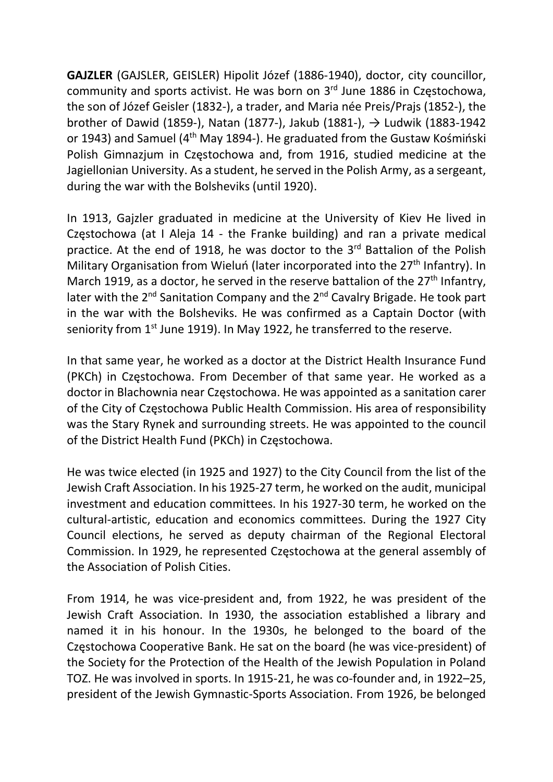GAJZLER (GAJSLER, GEISLER) Hipolit Józef (1886-1940), doctor, city councillor, community and sports activist. He was born on 3rd June 1886 in Częstochowa, the son of Józef Geisler (1832-), a trader, and Maria née Preis/Prajs (1852-), the brother of Dawid (1859-), Natan (1877-), Jakub (1881-),  $\rightarrow$  Ludwik (1883-1942 or 1943) and Samuel (4th May 1894-). He graduated from the Gustaw Kośmiński Polish Gimnazjum in Częstochowa and, from 1916, studied medicine at the Jagiellonian University. As a student, he served in the Polish Army, as a sergeant, during the war with the Bolsheviks (until 1920).

In 1913, Gajzler graduated in medicine at the University of Kiev He lived in Częstochowa (at I Aleja 14 - the Franke building) and ran a private medical practice. At the end of 1918, he was doctor to the 3<sup>rd</sup> Battalion of the Polish Military Organisation from Wieluń (later incorporated into the 27<sup>th</sup> Infantry). In March 1919, as a doctor, he served in the reserve battalion of the 27<sup>th</sup> Infantry, later with the 2<sup>nd</sup> Sanitation Company and the 2<sup>nd</sup> Cavalry Brigade. He took part in the war with the Bolsheviks. He was confirmed as a Captain Doctor (with seniority from 1<sup>st</sup> June 1919). In May 1922, he transferred to the reserve.

In that same year, he worked as a doctor at the District Health Insurance Fund (PKCh) in Częstochowa. From December of that same year. He worked as a doctor in Blachownia near Częstochowa. He was appointed as a sanitation carer of the City of Częstochowa Public Health Commission. His area of responsibility was the Stary Rynek and surrounding streets. He was appointed to the council of the District Health Fund (PKCh) in Częstochowa.

He was twice elected (in 1925 and 1927) to the City Council from the list of the Jewish Craft Association. In his 1925-27 term, he worked on the audit, municipal investment and education committees. In his 1927-30 term, he worked on the cultural-artistic, education and economics committees. During the 1927 City Council elections, he served as deputy chairman of the Regional Electoral Commission. In 1929, he represented Częstochowa at the general assembly of the Association of Polish Cities.

From 1914, he was vice-president and, from 1922, he was president of the Jewish Craft Association. In 1930, the association established a library and named it in his honour. In the 1930s, he belonged to the board of the Częstochowa Cooperative Bank. He sat on the board (he was vice-president) of the Society for the Protection of the Health of the Jewish Population in Poland TOZ. He was involved in sports. In 1915-21, he was co-founder and, in 1922–25, president of the Jewish Gymnastic-Sports Association. From 1926, be belonged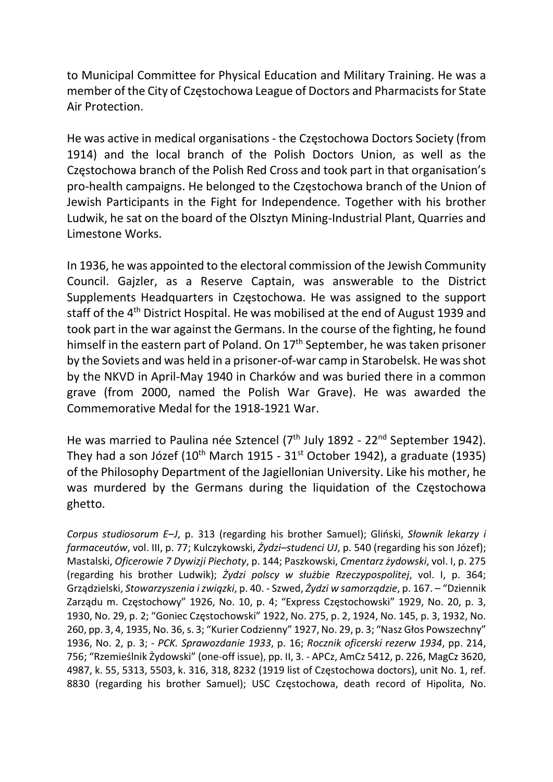to Municipal Committee for Physical Education and Military Training. He was a member of the City of Częstochowa League of Doctors and Pharmacists for State Air Protection.

He was active in medical organisations - the Częstochowa Doctors Society (from 1914) and the local branch of the Polish Doctors Union, as well as the Częstochowa branch of the Polish Red Cross and took part in that organisation's pro-health campaigns. He belonged to the Częstochowa branch of the Union of Jewish Participants in the Fight for Independence. Together with his brother Ludwik, he sat on the board of the Olsztyn Mining-Industrial Plant, Quarries and Limestone Works.

In 1936, he was appointed to the electoral commission of the Jewish Community Council. Gajzler, as a Reserve Captain, was answerable to the District Supplements Headquarters in Częstochowa. He was assigned to the support staff of the 4<sup>th</sup> District Hospital. He was mobilised at the end of August 1939 and took part in the war against the Germans. In the course of the fighting, he found himself in the eastern part of Poland. On 17<sup>th</sup> September, he was taken prisoner by the Soviets and was held in a prisoner-of-war camp in Starobelsk. He was shot by the NKVD in April-May 1940 in Charków and was buried there in a common grave (from 2000, named the Polish War Grave). He was awarded the Commemorative Medal for the 1918-1921 War.

He was married to Paulina née Sztencel (7<sup>th</sup> July 1892 - 22<sup>nd</sup> September 1942). They had a son Józef ( $10^{th}$  March 1915 -  $31^{st}$  October 1942), a graduate (1935) of the Philosophy Department of the Jagiellonian University. Like his mother, he was murdered by the Germans during the liquidation of the Częstochowa ghetto.

Corpus studiosorum E–J, p. 313 (regarding his brother Samuel); Gliński, Słownik lekarzy i farmaceutów, vol. III, p. 77; Kulczykowski, Żydzi-studenci UJ, p. 540 (regarding his son Józef); Mastalski, Oficerowie 7 Dywizji Piechoty, p. 144; Paszkowski, Cmentarz żydowski, vol. I, p. 275 (regarding his brother Ludwik); Żydzi polscy w służbie Rzeczypospolitej, vol. I, p. 364; Grządzielski, Stowarzyszenia i związki, p. 40. - Szwed, Żydzi w samorządzie, p. 167. – "Dziennik Zarządu m. Częstochowy" 1926, No. 10, p. 4; "Express Częstochowski" 1929, No. 20, p. 3, 1930, No. 29, p. 2; "Goniec Częstochowski" 1922, No. 275, p. 2, 1924, No. 145, p. 3, 1932, No. 260, pp. 3, 4, 1935, No. 36, s. 3; "Kurier Codzienny" 1927, No. 29, p. 3; "Nasz Głos Powszechny" 1936, No. 2, p. 3; - PCK. Sprawozdanie 1933, p. 16; Rocznik oficerski rezerw 1934, pp. 214, 756; "Rzemieślnik Żydowski" (one-off issue), pp. II, 3. - APCz, AmCz 5412, p. 226, MagCz 3620, 4987, k. 55, 5313, 5503, k. 316, 318, 8232 (1919 list of Częstochowa doctors), unit No. 1, ref. 8830 (regarding his brother Samuel); USC Częstochowa, death record of Hipolita, No.